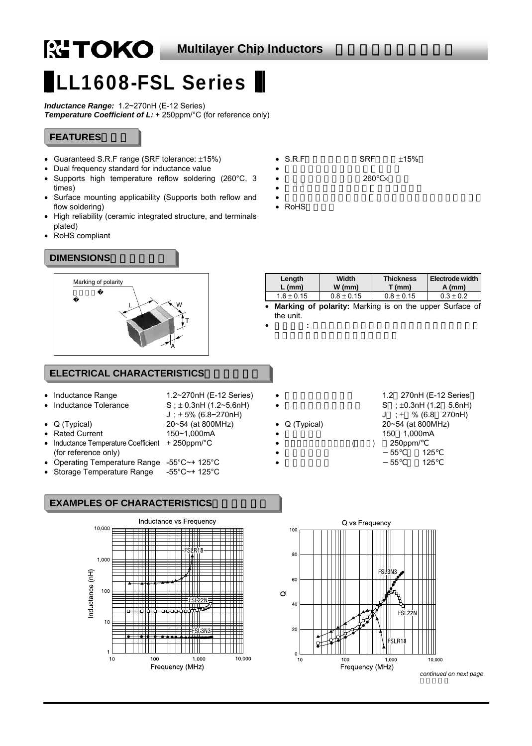# LL1608-FSL Series

*Inductance Range:* 1.2~270nH (E-12 Series) **Temperature Coefficient of L:** + 250ppm/°C (for reference only)

# **FEATURES**

- Guaranteed S.R.F range (SRF tolerance: ±15%)
- Dual frequency standard for inductance value
- Supports high temperature reflow soldering (260°C, 3 times)
- Surface mounting applicability (Supports both reflow and flow soldering)
- High reliability (ceramic integrated structure, and terminals plated)
- RoHS compliant

## DIMENSIONS



#### **Length L (mm) Width W (mm) Thickness T (mm) Electrode width A (mm)**   $1.6 \pm 0.15$  0.8  $\pm$  0.15 0.8  $\pm$  0.15 0.3  $\pm$  0.2

the unit.

• 極性表示**:** 磁束方向を示します。この表示が、常に上を向

# **ELECTRICAL CHARACTERISTICS**

| Inductance Range |  |
|------------------|--|
|                  |  |

- Inductance Tolerance  $S : \pm 0.3$ nH (1.2~5.6nH)
- Q (Typical) 20~54 (at 800MHz)
- Rated Current 150~1,000mA
- Inductance Temperature Coefficient + 250ppm/°C (for reference only)
- Operating Temperature Range -55°C~+ 125°C
- Storage Temperature Range -55°C~+ 125°C

# **EXAMPLES OF CHARACTERISTICS**



1.2~270nH (E-12 Series)

 $J$ ;  $\pm$  5% (6.8~270nH)



10,000

*continued on next page* 

#### $S.R.F$   $SRF$   $±15%$ • インダクタンス値の2周波規格化

260  $\times$ 

 $\bullet$  and the contract of the contract of the contract of the contract of the contract of the contract of the contract of the contract of the contract of the contract of the contract of the contract of the contract of the RoH<sub>S</sub>

 $\bullet$ 

| $L$ (mm)       | $W$ (mm)       | $T$ (mm)       | $A$ (mm)                                                  |  |  |  |
|----------------|----------------|----------------|-----------------------------------------------------------|--|--|--|
| $1.6 \pm 0.15$ | $0.8 \pm 0.15$ | $0.8 \pm 0.15$ | $0.3 \pm 0.2$                                             |  |  |  |
|                |                |                | • Marking of polarity: Marking is on the upper Surface of |  |  |  |
| the unit       |                |                |                                                           |  |  |  |

- 
- 
- Q (Typical) 20~54 (at 800MHz) ( ) 250ppm/ • 使用温度範囲 55℃~+125
- $S$  ;  $\pm 0.3$ nH (1.2 5.6nH)  $J : \pm$  % (6.8 270nH) 150 1,000mA • 保存温度範囲 55℃~+125

1.2 270nH (E-12 Series